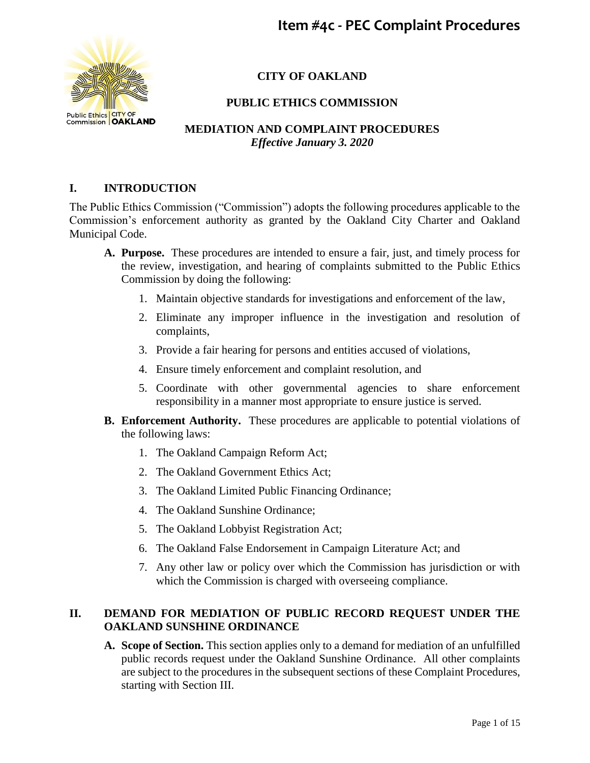

# **CITY OF OAKLAND**

## **PUBLIC ETHICS COMMISSION**

## **MEDIATION AND COMPLAINT PROCEDURES** *Effective January 3. 2020*

### **I. INTRODUCTION**

The Public Ethics Commission ("Commission") adopts the following procedures applicable to the Commission's enforcement authority as granted by the Oakland City Charter and Oakland Municipal Code.

- **A. Purpose.** These procedures are intended to ensure a fair, just, and timely process for the review, investigation, and hearing of complaints submitted to the Public Ethics Commission by doing the following:
	- 1. Maintain objective standards for investigations and enforcement of the law,
	- 2. Eliminate any improper influence in the investigation and resolution of complaints,
	- 3. Provide a fair hearing for persons and entities accused of violations,
	- 4. Ensure timely enforcement and complaint resolution, and
	- 5. Coordinate with other governmental agencies to share enforcement responsibility in a manner most appropriate to ensure justice is served.
- **B. Enforcement Authority.** These procedures are applicable to potential violations of the following laws:
	- 1. The Oakland Campaign Reform Act;
	- 2. The Oakland Government Ethics Act;
	- 3. The Oakland Limited Public Financing Ordinance;
	- 4. The Oakland Sunshine Ordinance;
	- 5. The Oakland Lobbyist Registration Act;
	- 6. The Oakland False Endorsement in Campaign Literature Act; and
	- 7. Any other law or policy over which the Commission has jurisdiction or with which the Commission is charged with overseeing compliance.

#### **II. DEMAND FOR MEDIATION OF PUBLIC RECORD REQUEST UNDER THE OAKLAND SUNSHINE ORDINANCE**

**A. Scope of Section.** This section applies only to a demand for mediation of an unfulfilled public records request under the Oakland Sunshine Ordinance. All other complaints are subject to the procedures in the subsequent sections of these Complaint Procedures, starting with Section III.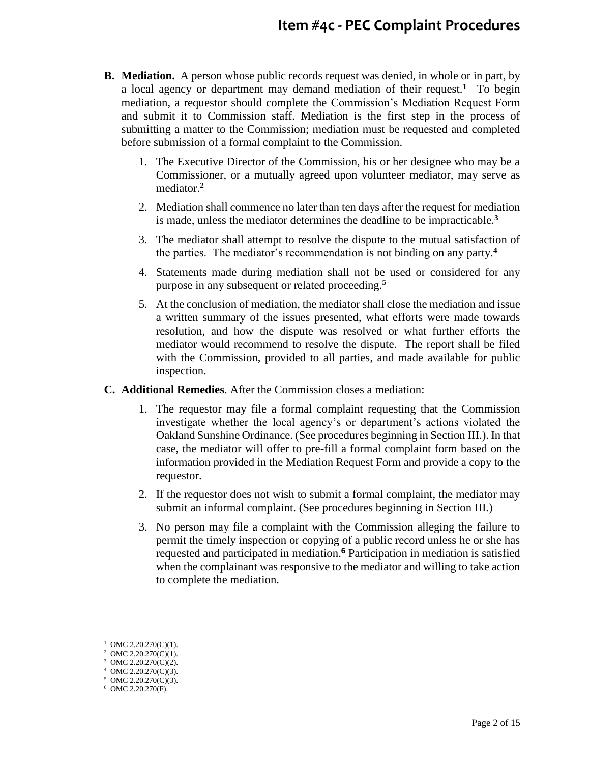- **B. Mediation.** A person whose public records request was denied, in whole or in part, by a local agency or department may demand mediation of their request.**<sup>1</sup>** To begin mediation, a requestor should complete the Commission's Mediation Request Form and submit it to Commission staff. Mediation is the first step in the process of submitting a matter to the Commission; mediation must be requested and completed before submission of a formal complaint to the Commission.
	- 1. The Executive Director of the Commission, his or her designee who may be a Commissioner, or a mutually agreed upon volunteer mediator, may serve as mediator. **2**
	- 2. Mediation shall commence no later than ten days after the request for mediation is made, unless the mediator determines the deadline to be impracticable.**<sup>3</sup>**
	- 3. The mediator shall attempt to resolve the dispute to the mutual satisfaction of the parties. The mediator's recommendation is not binding on any party.**<sup>4</sup>**
	- 4. Statements made during mediation shall not be used or considered for any purpose in any subsequent or related proceeding.**<sup>5</sup>**
	- 5. At the conclusion of mediation, the mediator shall close the mediation and issue a written summary of the issues presented, what efforts were made towards resolution, and how the dispute was resolved or what further efforts the mediator would recommend to resolve the dispute. The report shall be filed with the Commission, provided to all parties, and made available for public inspection.
- **C. Additional Remedies**. After the Commission closes a mediation:
	- 1. The requestor may file a formal complaint requesting that the Commission investigate whether the local agency's or department's actions violated the Oakland Sunshine Ordinance. (See procedures beginning in Section III.). In that case, the mediator will offer to pre-fill a formal complaint form based on the information provided in the Mediation Request Form and provide a copy to the requestor.
	- 2. If the requestor does not wish to submit a formal complaint, the mediator may submit an informal complaint. (See procedures beginning in Section III.)
	- 3. No person may file a complaint with the Commission alleging the failure to permit the timely inspection or copying of a public record unless he or she has requested and participated in mediation. **<sup>6</sup>** Participation in mediation is satisfied when the complainant was responsive to the mediator and willing to take action to complete the mediation.

 $\overline{a}$ 

<sup>&</sup>lt;sup>1</sup> OMC 2.20.270(C)(1).

<sup>&</sup>lt;sup>2</sup> OMC 2.20.270(C)(1).

<sup>&</sup>lt;sup>3</sup> OMC 2.20.270(C)(2). 4 OMC 2.20.270(C)(3).

<sup>5</sup> OMC 2.20.270(C)(3).

<sup>6</sup> OMC 2.20.270(F).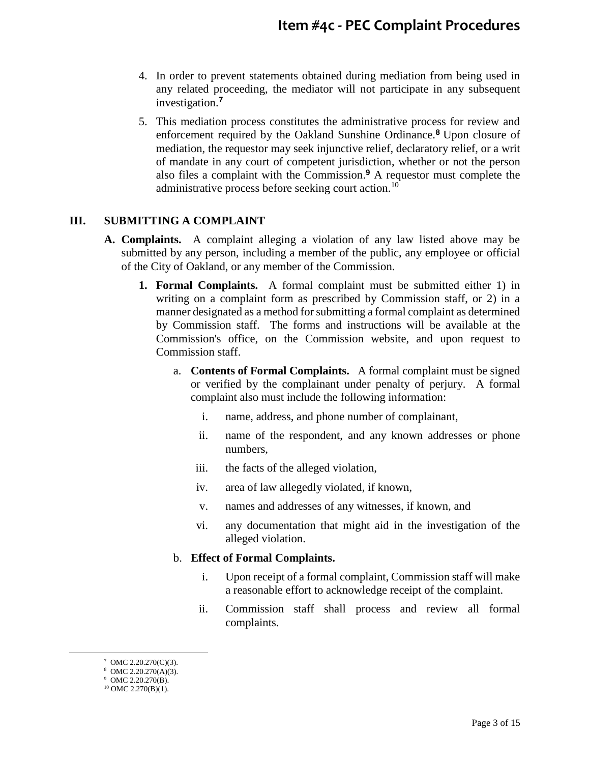- 4. In order to prevent statements obtained during mediation from being used in any related proceeding, the mediator will not participate in any subsequent investigation.**<sup>7</sup>**
- 5. This mediation process constitutes the administrative process for review and enforcement required by the Oakland Sunshine Ordinance.**<sup>8</sup>** Upon closure of mediation, the requestor may seek injunctive relief, declaratory relief, or a writ of mandate in any court of competent jurisdiction, whether or not the person also files a complaint with the Commission. **<sup>9</sup>** A requestor must complete the administrative process before seeking court action.<sup>10</sup>

#### **III. SUBMITTING A COMPLAINT**

- **A. Complaints.** A complaint alleging a violation of any law listed above may be submitted by any person, including a member of the public, any employee or official of the City of Oakland, or any member of the Commission.
	- **1. Formal Complaints.** A formal complaint must be submitted either 1) in writing on a complaint form as prescribed by Commission staff, or 2) in a manner designated as a method for submitting a formal complaint as determined by Commission staff. The forms and instructions will be available at the Commission's office, on the Commission website, and upon request to Commission staff.
		- a. **Contents of Formal Complaints.** A formal complaint must be signed or verified by the complainant under penalty of perjury. A formal complaint also must include the following information:
			- i. name, address, and phone number of complainant,
			- ii. name of the respondent, and any known addresses or phone numbers,
			- iii. the facts of the alleged violation,
			- iv. area of law allegedly violated, if known,
			- v. names and addresses of any witnesses, if known, and
			- vi. any documentation that might aid in the investigation of the alleged violation.

#### b. **Effect of Formal Complaints.**

- i. Upon receipt of a formal complaint, Commission staff will make a reasonable effort to acknowledge receipt of the complaint.
- ii. Commission staff shall process and review all formal complaints.

 $\overline{a}$ 

 $7$  OMC 2.20.270(C)(3).

<sup>8</sup> OMC 2.20.270(A)(3).

<sup>&</sup>lt;sup>9</sup> OMC 2.20.270(B).

 $10$  OMC 2.270(B)(1).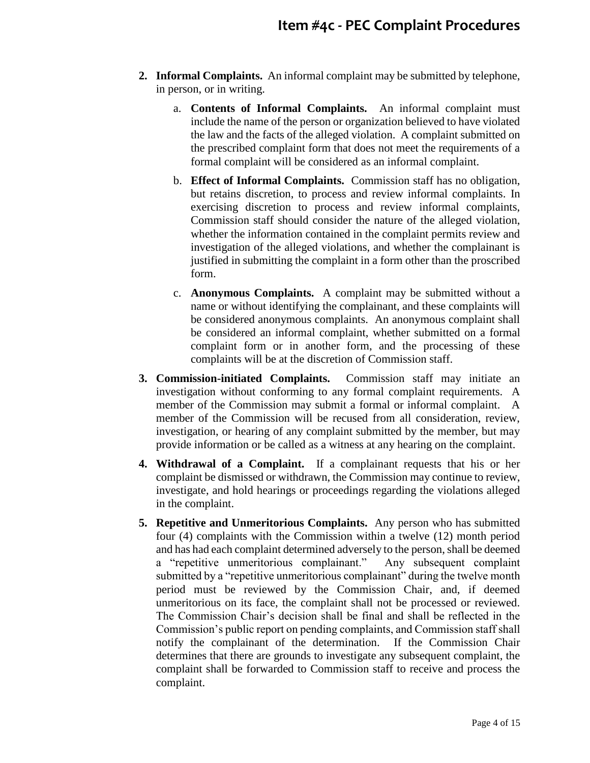- **2. Informal Complaints.** An informal complaint may be submitted by telephone, in person, or in writing.
	- a. **Contents of Informal Complaints.** An informal complaint must include the name of the person or organization believed to have violated the law and the facts of the alleged violation. A complaint submitted on the prescribed complaint form that does not meet the requirements of a formal complaint will be considered as an informal complaint.
	- b. **Effect of Informal Complaints.** Commission staff has no obligation, but retains discretion, to process and review informal complaints. In exercising discretion to process and review informal complaints, Commission staff should consider the nature of the alleged violation, whether the information contained in the complaint permits review and investigation of the alleged violations, and whether the complainant is justified in submitting the complaint in a form other than the proscribed form.
	- c. **Anonymous Complaints.** A complaint may be submitted without a name or without identifying the complainant, and these complaints will be considered anonymous complaints. An anonymous complaint shall be considered an informal complaint, whether submitted on a formal complaint form or in another form, and the processing of these complaints will be at the discretion of Commission staff.
- **3. Commission-initiated Complaints.** Commission staff may initiate an investigation without conforming to any formal complaint requirements. A member of the Commission may submit a formal or informal complaint. A member of the Commission will be recused from all consideration, review, investigation, or hearing of any complaint submitted by the member, but may provide information or be called as a witness at any hearing on the complaint.
- **4. Withdrawal of a Complaint.** If a complainant requests that his or her complaint be dismissed or withdrawn, the Commission may continue to review, investigate, and hold hearings or proceedings regarding the violations alleged in the complaint.
- **5. Repetitive and Unmeritorious Complaints.** Any person who has submitted four (4) complaints with the Commission within a twelve (12) month period and has had each complaint determined adversely to the person, shall be deemed a "repetitive unmeritorious complainant." Any subsequent complaint submitted by a "repetitive unmeritorious complainant" during the twelve month period must be reviewed by the Commission Chair, and, if deemed unmeritorious on its face, the complaint shall not be processed or reviewed. The Commission Chair's decision shall be final and shall be reflected in the Commission's public report on pending complaints, and Commission staff shall notify the complainant of the determination. If the Commission Chair determines that there are grounds to investigate any subsequent complaint, the complaint shall be forwarded to Commission staff to receive and process the complaint.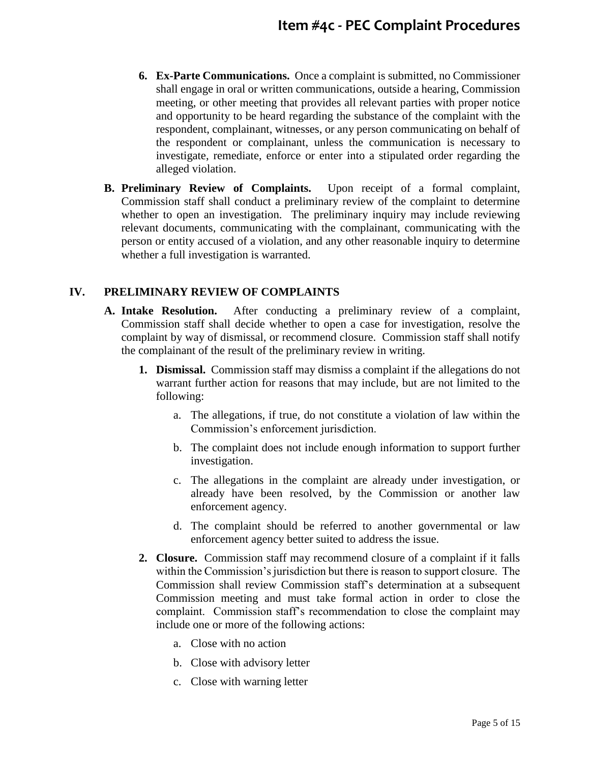- **6. Ex-Parte Communications.** Once a complaint is submitted, no Commissioner shall engage in oral or written communications, outside a hearing, Commission meeting, or other meeting that provides all relevant parties with proper notice and opportunity to be heard regarding the substance of the complaint with the respondent, complainant, witnesses, or any person communicating on behalf of the respondent or complainant, unless the communication is necessary to investigate, remediate, enforce or enter into a stipulated order regarding the alleged violation.
- **B. Preliminary Review of Complaints.** Upon receipt of a formal complaint, Commission staff shall conduct a preliminary review of the complaint to determine whether to open an investigation. The preliminary inquiry may include reviewing relevant documents, communicating with the complainant, communicating with the person or entity accused of a violation, and any other reasonable inquiry to determine whether a full investigation is warranted.

#### **IV. PRELIMINARY REVIEW OF COMPLAINTS**

- **A. Intake Resolution.** After conducting a preliminary review of a complaint, Commission staff shall decide whether to open a case for investigation, resolve the complaint by way of dismissal, or recommend closure. Commission staff shall notify the complainant of the result of the preliminary review in writing.
	- **1. Dismissal.** Commission staff may dismiss a complaint if the allegations do not warrant further action for reasons that may include, but are not limited to the following:
		- a. The allegations, if true, do not constitute a violation of law within the Commission's enforcement jurisdiction.
		- b. The complaint does not include enough information to support further investigation.
		- c. The allegations in the complaint are already under investigation, or already have been resolved, by the Commission or another law enforcement agency.
		- d. The complaint should be referred to another governmental or law enforcement agency better suited to address the issue.
	- **2. Closure.** Commission staff may recommend closure of a complaint if it falls within the Commission's jurisdiction but there is reason to support closure. The Commission shall review Commission staff's determination at a subsequent Commission meeting and must take formal action in order to close the complaint. Commission staff's recommendation to close the complaint may include one or more of the following actions:
		- a. Close with no action
		- b. Close with advisory letter
		- c. Close with warning letter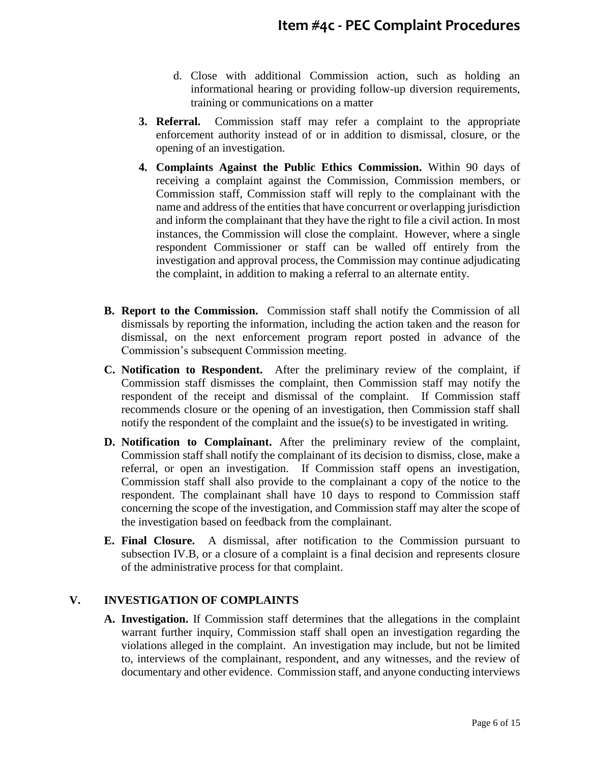- d. Close with additional Commission action, such as holding an informational hearing or providing follow-up diversion requirements, training or communications on a matter
- **3. Referral.** Commission staff may refer a complaint to the appropriate enforcement authority instead of or in addition to dismissal, closure, or the opening of an investigation.
- **4. Complaints Against the Public Ethics Commission.** Within 90 days of receiving a complaint against the Commission, Commission members, or Commission staff, Commission staff will reply to the complainant with the name and address of the entities that have concurrent or overlapping jurisdiction and inform the complainant that they have the right to file a civil action. In most instances, the Commission will close the complaint. However, where a single respondent Commissioner or staff can be walled off entirely from the investigation and approval process, the Commission may continue adjudicating the complaint, in addition to making a referral to an alternate entity.
- **B. Report to the Commission.** Commission staff shall notify the Commission of all dismissals by reporting the information, including the action taken and the reason for dismissal, on the next enforcement program report posted in advance of the Commission's subsequent Commission meeting.
- **C. Notification to Respondent.** After the preliminary review of the complaint, if Commission staff dismisses the complaint, then Commission staff may notify the respondent of the receipt and dismissal of the complaint. If Commission staff recommends closure or the opening of an investigation, then Commission staff shall notify the respondent of the complaint and the issue(s) to be investigated in writing.
- **D. Notification to Complainant.** After the preliminary review of the complaint, Commission staff shall notify the complainant of its decision to dismiss, close, make a referral, or open an investigation. If Commission staff opens an investigation, Commission staff shall also provide to the complainant a copy of the notice to the respondent. The complainant shall have 10 days to respond to Commission staff concerning the scope of the investigation, and Commission staff may alter the scope of the investigation based on feedback from the complainant.
- **E. Final Closure.** A dismissal, after notification to the Commission pursuant to subsection IV.B, or a closure of a complaint is a final decision and represents closure of the administrative process for that complaint.

#### **V. INVESTIGATION OF COMPLAINTS**

**A. Investigation.** If Commission staff determines that the allegations in the complaint warrant further inquiry, Commission staff shall open an investigation regarding the violations alleged in the complaint. An investigation may include, but not be limited to, interviews of the complainant, respondent, and any witnesses, and the review of documentary and other evidence. Commission staff, and anyone conducting interviews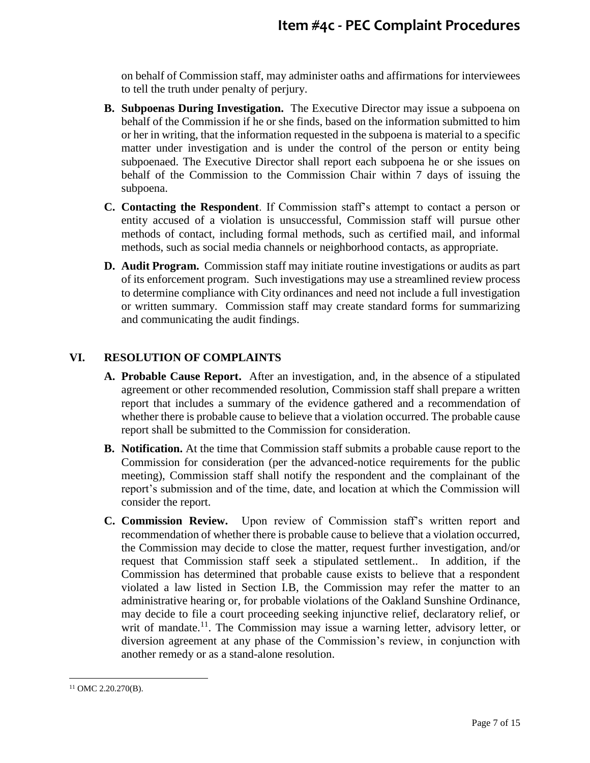on behalf of Commission staff, may administer oaths and affirmations for interviewees to tell the truth under penalty of perjury.

- **B. Subpoenas During Investigation.** The Executive Director may issue a subpoena on behalf of the Commission if he or she finds, based on the information submitted to him or her in writing, that the information requested in the subpoena is material to a specific matter under investigation and is under the control of the person or entity being subpoenaed. The Executive Director shall report each subpoena he or she issues on behalf of the Commission to the Commission Chair within 7 days of issuing the subpoena.
- **C. Contacting the Respondent**. If Commission staff's attempt to contact a person or entity accused of a violation is unsuccessful, Commission staff will pursue other methods of contact, including formal methods, such as certified mail, and informal methods, such as social media channels or neighborhood contacts, as appropriate.
- **D. Audit Program.** Commission staff may initiate routine investigations or audits as part of its enforcement program. Such investigations may use a streamlined review process to determine compliance with City ordinances and need not include a full investigation or written summary. Commission staff may create standard forms for summarizing and communicating the audit findings.

#### **VI. RESOLUTION OF COMPLAINTS**

- **A. Probable Cause Report.** After an investigation, and, in the absence of a stipulated agreement or other recommended resolution, Commission staff shall prepare a written report that includes a summary of the evidence gathered and a recommendation of whether there is probable cause to believe that a violation occurred. The probable cause report shall be submitted to the Commission for consideration.
- **B. Notification.** At the time that Commission staff submits a probable cause report to the Commission for consideration (per the advanced-notice requirements for the public meeting), Commission staff shall notify the respondent and the complainant of the report's submission and of the time, date, and location at which the Commission will consider the report.
- **C. Commission Review.** Upon review of Commission staff's written report and recommendation of whether there is probable cause to believe that a violation occurred, the Commission may decide to close the matter, request further investigation, and/or request that Commission staff seek a stipulated settlement.. In addition, if the Commission has determined that probable cause exists to believe that a respondent violated a law listed in Section I.B, the Commission may refer the matter to an administrative hearing or, for probable violations of the Oakland Sunshine Ordinance, may decide to file a court proceeding seeking injunctive relief, declaratory relief, or writ of mandate.<sup>11</sup>. The Commission may issue a warning letter, advisory letter, or diversion agreement at any phase of the Commission's review, in conjunction with another remedy or as a stand-alone resolution.

 $\overline{a}$ <sup>11</sup> OMC 2.20.270(B).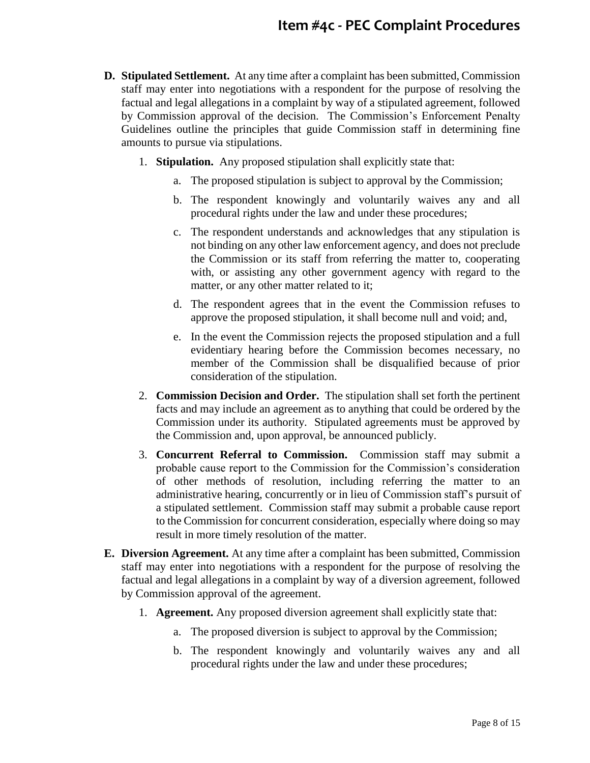- **D. Stipulated Settlement.** At any time after a complaint has been submitted, Commission staff may enter into negotiations with a respondent for the purpose of resolving the factual and legal allegations in a complaint by way of a stipulated agreement, followed by Commission approval of the decision. The Commission's Enforcement Penalty Guidelines outline the principles that guide Commission staff in determining fine amounts to pursue via stipulations.
	- 1. **Stipulation.** Any proposed stipulation shall explicitly state that:
		- a. The proposed stipulation is subject to approval by the Commission;
		- b. The respondent knowingly and voluntarily waives any and all procedural rights under the law and under these procedures;
		- c. The respondent understands and acknowledges that any stipulation is not binding on any other law enforcement agency, and does not preclude the Commission or its staff from referring the matter to, cooperating with, or assisting any other government agency with regard to the matter, or any other matter related to it;
		- d. The respondent agrees that in the event the Commission refuses to approve the proposed stipulation, it shall become null and void; and,
		- e. In the event the Commission rejects the proposed stipulation and a full evidentiary hearing before the Commission becomes necessary, no member of the Commission shall be disqualified because of prior consideration of the stipulation.
	- 2. **Commission Decision and Order.** The stipulation shall set forth the pertinent facts and may include an agreement as to anything that could be ordered by the Commission under its authority. Stipulated agreements must be approved by the Commission and, upon approval, be announced publicly.
	- 3. **Concurrent Referral to Commission.** Commission staff may submit a probable cause report to the Commission for the Commission's consideration of other methods of resolution, including referring the matter to an administrative hearing, concurrently or in lieu of Commission staff's pursuit of a stipulated settlement. Commission staff may submit a probable cause report to the Commission for concurrent consideration, especially where doing so may result in more timely resolution of the matter.
- **E. Diversion Agreement.** At any time after a complaint has been submitted, Commission staff may enter into negotiations with a respondent for the purpose of resolving the factual and legal allegations in a complaint by way of a diversion agreement, followed by Commission approval of the agreement.
	- 1. **Agreement.** Any proposed diversion agreement shall explicitly state that:
		- a. The proposed diversion is subject to approval by the Commission;
		- b. The respondent knowingly and voluntarily waives any and all procedural rights under the law and under these procedures;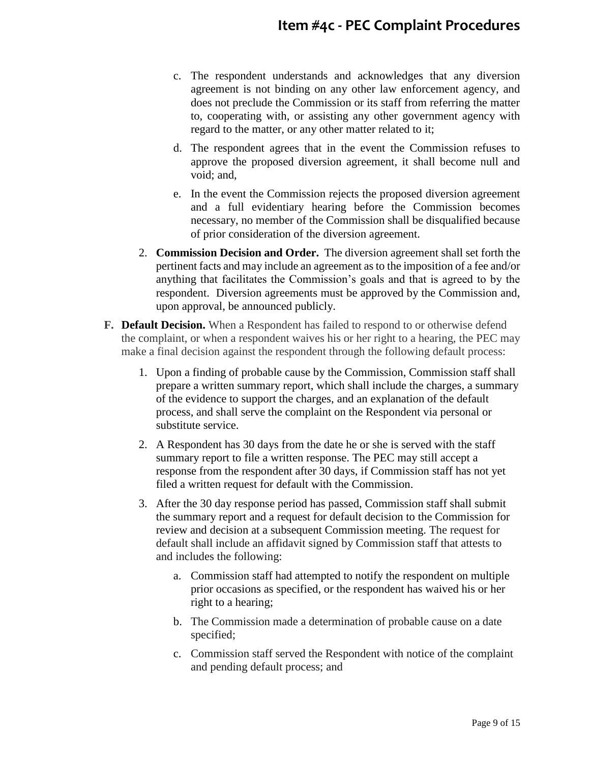- c. The respondent understands and acknowledges that any diversion agreement is not binding on any other law enforcement agency, and does not preclude the Commission or its staff from referring the matter to, cooperating with, or assisting any other government agency with regard to the matter, or any other matter related to it;
- d. The respondent agrees that in the event the Commission refuses to approve the proposed diversion agreement, it shall become null and void; and,
- e. In the event the Commission rejects the proposed diversion agreement and a full evidentiary hearing before the Commission becomes necessary, no member of the Commission shall be disqualified because of prior consideration of the diversion agreement.
- 2. **Commission Decision and Order.** The diversion agreement shall set forth the pertinent facts and may include an agreement as to the imposition of a fee and/or anything that facilitates the Commission's goals and that is agreed to by the respondent. Diversion agreements must be approved by the Commission and, upon approval, be announced publicly.
- **F. Default Decision.** When a Respondent has failed to respond to or otherwise defend the complaint, or when a respondent waives his or her right to a hearing, the PEC may make a final decision against the respondent through the following default process:
	- 1. Upon a finding of probable cause by the Commission, Commission staff shall prepare a written summary report, which shall include the charges, a summary of the evidence to support the charges, and an explanation of the default process, and shall serve the complaint on the Respondent via personal or substitute service.
	- 2. A Respondent has 30 days from the date he or she is served with the staff summary report to file a written response. The PEC may still accept a response from the respondent after 30 days, if Commission staff has not yet filed a written request for default with the Commission.
	- 3. After the 30 day response period has passed, Commission staff shall submit the summary report and a request for default decision to the Commission for review and decision at a subsequent Commission meeting. The request for default shall include an affidavit signed by Commission staff that attests to and includes the following:
		- a. Commission staff had attempted to notify the respondent on multiple prior occasions as specified, or the respondent has waived his or her right to a hearing;
		- b. The Commission made a determination of probable cause on a date specified;
		- c. Commission staff served the Respondent with notice of the complaint and pending default process; and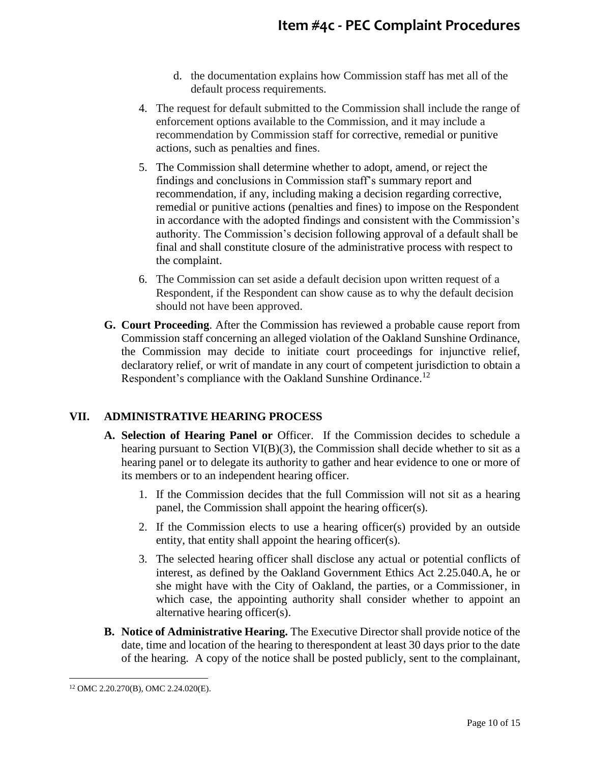- d. the documentation explains how Commission staff has met all of the default process requirements.
- 4. The request for default submitted to the Commission shall include the range of enforcement options available to the Commission, and it may include a recommendation by Commission staff for corrective, remedial or punitive actions, such as penalties and fines.
- 5. The Commission shall determine whether to adopt, amend, or reject the findings and conclusions in Commission staff's summary report and recommendation, if any, including making a decision regarding corrective, remedial or punitive actions (penalties and fines) to impose on the Respondent in accordance with the adopted findings and consistent with the Commission's authority. The Commission's decision following approval of a default shall be final and shall constitute closure of the administrative process with respect to the complaint.
- 6. The Commission can set aside a default decision upon written request of a Respondent, if the Respondent can show cause as to why the default decision should not have been approved.
- **G. Court Proceeding**. After the Commission has reviewed a probable cause report from Commission staff concerning an alleged violation of the Oakland Sunshine Ordinance, the Commission may decide to initiate court proceedings for injunctive relief, declaratory relief, or writ of mandate in any court of competent jurisdiction to obtain a Respondent's compliance with the Oakland Sunshine Ordinance.<sup>12</sup>

## **VII. ADMINISTRATIVE HEARING PROCESS**

- **A. Selection of Hearing Panel or** Officer. If the Commission decides to schedule a hearing pursuant to Section VI(B)(3), the Commission shall decide whether to sit as a hearing panel or to delegate its authority to gather and hear evidence to one or more of its members or to an independent hearing officer.
	- 1. If the Commission decides that the full Commission will not sit as a hearing panel, the Commission shall appoint the hearing officer(s).
	- 2. If the Commission elects to use a hearing officer(s) provided by an outside entity, that entity shall appoint the hearing officer(s).
	- 3. The selected hearing officer shall disclose any actual or potential conflicts of interest, as defined by the Oakland Government Ethics Act 2.25.040.A, he or she might have with the City of Oakland, the parties, or a Commissioner, in which case, the appointing authority shall consider whether to appoint an alternative hearing officer(s).
- **B. Notice of Administrative Hearing.** The Executive Director shall provide notice of the date, time and location of the hearing to therespondent at least 30 days prior to the date of the hearing. A copy of the notice shall be posted publicly, sent to the complainant,

 $\overline{a}$ <sup>12</sup> OMC 2.20.270(B), OMC 2.24.020(E).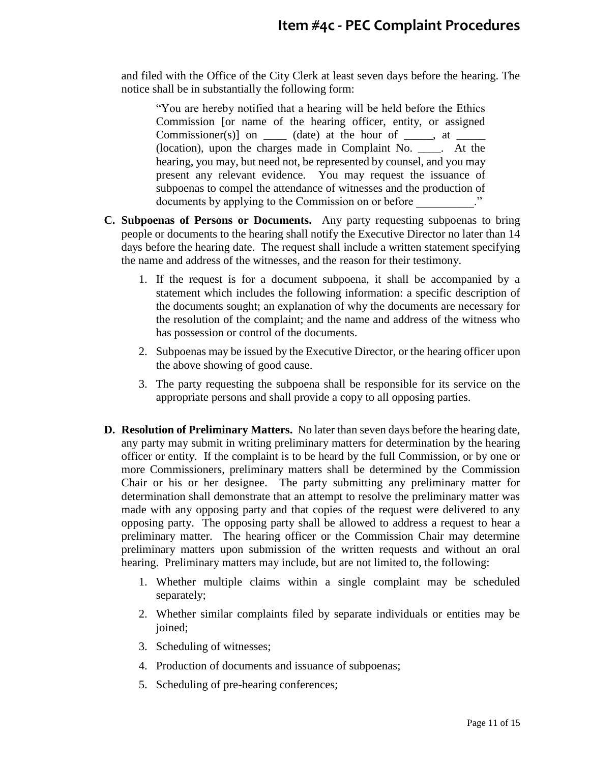and filed with the Office of the City Clerk at least seven days before the hearing. The notice shall be in substantially the following form:

"You are hereby notified that a hearing will be held before the Ethics Commission [or name of the hearing officer, entity, or assigned Commissioner(s)] on  $\Box$  (date) at the hour of  $\Box$ , at  $\Box$ (location), upon the charges made in Complaint No. \_\_\_\_. At the hearing, you may, but need not, be represented by counsel, and you may present any relevant evidence. You may request the issuance of subpoenas to compel the attendance of witnesses and the production of documents by applying to the Commission on or before  $\ddot{\hspace{1cm}}$ .

- **C. Subpoenas of Persons or Documents.** Any party requesting subpoenas to bring people or documents to the hearing shall notify the Executive Director no later than 14 days before the hearing date. The request shall include a written statement specifying the name and address of the witnesses, and the reason for their testimony.
	- 1. If the request is for a document subpoena, it shall be accompanied by a statement which includes the following information: a specific description of the documents sought; an explanation of why the documents are necessary for the resolution of the complaint; and the name and address of the witness who has possession or control of the documents.
	- 2. Subpoenas may be issued by the Executive Director, or the hearing officer upon the above showing of good cause.
	- 3. The party requesting the subpoena shall be responsible for its service on the appropriate persons and shall provide a copy to all opposing parties.
- **D. Resolution of Preliminary Matters.** No later than seven days before the hearing date, any party may submit in writing preliminary matters for determination by the hearing officer or entity. If the complaint is to be heard by the full Commission, or by one or more Commissioners, preliminary matters shall be determined by the Commission Chair or his or her designee. The party submitting any preliminary matter for determination shall demonstrate that an attempt to resolve the preliminary matter was made with any opposing party and that copies of the request were delivered to any opposing party. The opposing party shall be allowed to address a request to hear a preliminary matter. The hearing officer or the Commission Chair may determine preliminary matters upon submission of the written requests and without an oral hearing. Preliminary matters may include, but are not limited to, the following:
	- 1. Whether multiple claims within a single complaint may be scheduled separately;
	- 2. Whether similar complaints filed by separate individuals or entities may be joined;
	- 3. Scheduling of witnesses;
	- 4. Production of documents and issuance of subpoenas;
	- 5. Scheduling of pre-hearing conferences;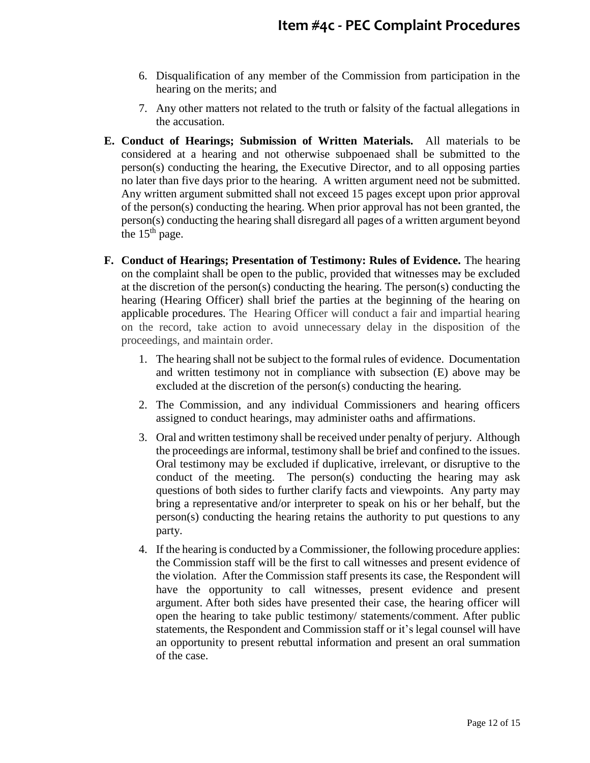- 6. Disqualification of any member of the Commission from participation in the hearing on the merits; and
- 7. Any other matters not related to the truth or falsity of the factual allegations in the accusation.
- **E. Conduct of Hearings; Submission of Written Materials.** All materials to be considered at a hearing and not otherwise subpoenaed shall be submitted to the person(s) conducting the hearing, the Executive Director, and to all opposing parties no later than five days prior to the hearing. A written argument need not be submitted. Any written argument submitted shall not exceed 15 pages except upon prior approval of the person(s) conducting the hearing. When prior approval has not been granted, the person(s) conducting the hearing shall disregard all pages of a written argument beyond the  $15<sup>th</sup>$  page.
- **F. Conduct of Hearings; Presentation of Testimony: Rules of Evidence.** The hearing on the complaint shall be open to the public, provided that witnesses may be excluded at the discretion of the person(s) conducting the hearing. The person(s) conducting the hearing (Hearing Officer) shall brief the parties at the beginning of the hearing on applicable procedures. The Hearing Officer will conduct a fair and impartial hearing on the record, take action to avoid unnecessary delay in the disposition of the proceedings, and maintain order.
	- 1. The hearing shall not be subject to the formal rules of evidence. Documentation and written testimony not in compliance with subsection (E) above may be excluded at the discretion of the person(s) conducting the hearing.
	- 2. The Commission, and any individual Commissioners and hearing officers assigned to conduct hearings, may administer oaths and affirmations.
	- 3. Oral and written testimony shall be received under penalty of perjury. Although the proceedings are informal, testimony shall be brief and confined to the issues. Oral testimony may be excluded if duplicative, irrelevant, or disruptive to the conduct of the meeting. The person(s) conducting the hearing may ask questions of both sides to further clarify facts and viewpoints. Any party may bring a representative and/or interpreter to speak on his or her behalf, but the person(s) conducting the hearing retains the authority to put questions to any party.
	- 4. If the hearing is conducted by a Commissioner, the following procedure applies: the Commission staff will be the first to call witnesses and present evidence of the violation. After the Commission staff presents its case, the Respondent will have the opportunity to call witnesses, present evidence and present argument. After both sides have presented their case, the hearing officer will open the hearing to take public testimony/ statements/comment. After public statements, the Respondent and Commission staff or it's legal counsel will have an opportunity to present rebuttal information and present an oral summation of the case.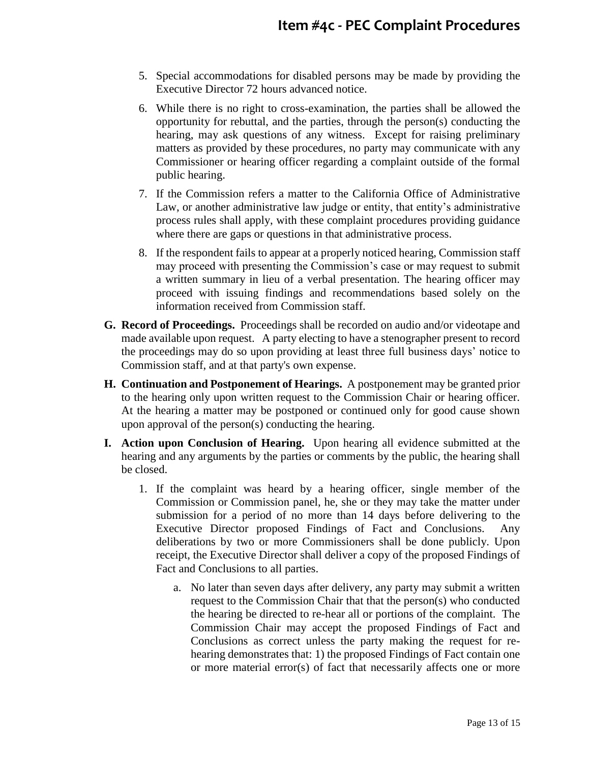- 5. Special accommodations for disabled persons may be made by providing the Executive Director 72 hours advanced notice.
- 6. While there is no right to cross-examination, the parties shall be allowed the opportunity for rebuttal, and the parties, through the person(s) conducting the hearing, may ask questions of any witness. Except for raising preliminary matters as provided by these procedures, no party may communicate with any Commissioner or hearing officer regarding a complaint outside of the formal public hearing.
- 7. If the Commission refers a matter to the California Office of Administrative Law, or another administrative law judge or entity, that entity's administrative process rules shall apply, with these complaint procedures providing guidance where there are gaps or questions in that administrative process.
- 8. If the respondent fails to appear at a properly noticed hearing, Commission staff may proceed with presenting the Commission's case or may request to submit a written summary in lieu of a verbal presentation. The hearing officer may proceed with issuing findings and recommendations based solely on the information received from Commission staff.
- **G. Record of Proceedings.** Proceedings shall be recorded on audio and/or videotape and made available upon request. A party electing to have a stenographer present to record the proceedings may do so upon providing at least three full business days' notice to Commission staff, and at that party's own expense.
- **H. Continuation and Postponement of Hearings.** A postponement may be granted prior to the hearing only upon written request to the Commission Chair or hearing officer. At the hearing a matter may be postponed or continued only for good cause shown upon approval of the person(s) conducting the hearing.
- **I. Action upon Conclusion of Hearing.** Upon hearing all evidence submitted at the hearing and any arguments by the parties or comments by the public, the hearing shall be closed.
	- 1. If the complaint was heard by a hearing officer, single member of the Commission or Commission panel, he, she or they may take the matter under submission for a period of no more than 14 days before delivering to the Executive Director proposed Findings of Fact and Conclusions. Any deliberations by two or more Commissioners shall be done publicly. Upon receipt, the Executive Director shall deliver a copy of the proposed Findings of Fact and Conclusions to all parties.
		- a. No later than seven days after delivery, any party may submit a written request to the Commission Chair that that the person(s) who conducted the hearing be directed to re-hear all or portions of the complaint. The Commission Chair may accept the proposed Findings of Fact and Conclusions as correct unless the party making the request for rehearing demonstrates that: 1) the proposed Findings of Fact contain one or more material error(s) of fact that necessarily affects one or more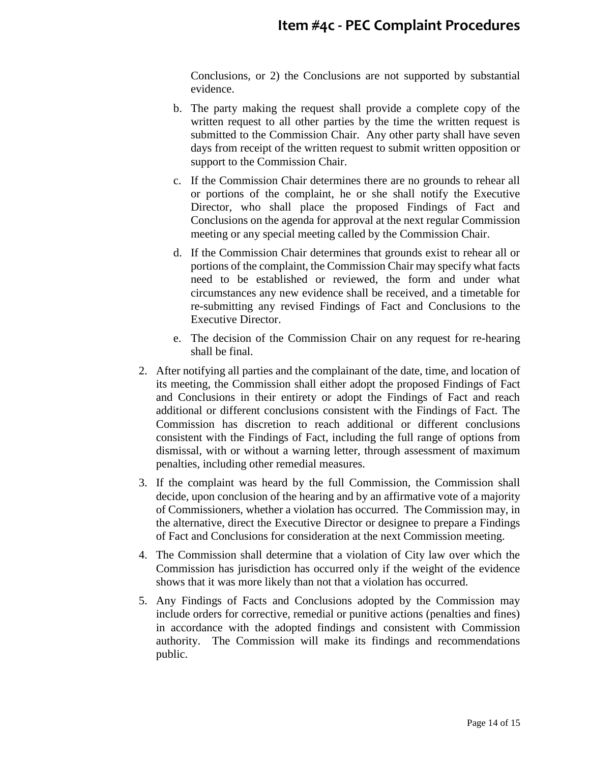Conclusions, or 2) the Conclusions are not supported by substantial evidence.

- b. The party making the request shall provide a complete copy of the written request to all other parties by the time the written request is submitted to the Commission Chair. Any other party shall have seven days from receipt of the written request to submit written opposition or support to the Commission Chair.
- c. If the Commission Chair determines there are no grounds to rehear all or portions of the complaint, he or she shall notify the Executive Director, who shall place the proposed Findings of Fact and Conclusions on the agenda for approval at the next regular Commission meeting or any special meeting called by the Commission Chair.
- d. If the Commission Chair determines that grounds exist to rehear all or portions of the complaint, the Commission Chair may specify what facts need to be established or reviewed, the form and under what circumstances any new evidence shall be received, and a timetable for re-submitting any revised Findings of Fact and Conclusions to the Executive Director.
- e. The decision of the Commission Chair on any request for re-hearing shall be final.
- 2. After notifying all parties and the complainant of the date, time, and location of its meeting, the Commission shall either adopt the proposed Findings of Fact and Conclusions in their entirety or adopt the Findings of Fact and reach additional or different conclusions consistent with the Findings of Fact. The Commission has discretion to reach additional or different conclusions consistent with the Findings of Fact, including the full range of options from dismissal, with or without a warning letter, through assessment of maximum penalties, including other remedial measures.
- 3. If the complaint was heard by the full Commission, the Commission shall decide, upon conclusion of the hearing and by an affirmative vote of a majority of Commissioners, whether a violation has occurred. The Commission may, in the alternative, direct the Executive Director or designee to prepare a Findings of Fact and Conclusions for consideration at the next Commission meeting.
- 4. The Commission shall determine that a violation of City law over which the Commission has jurisdiction has occurred only if the weight of the evidence shows that it was more likely than not that a violation has occurred.
- 5. Any Findings of Facts and Conclusions adopted by the Commission may include orders for corrective, remedial or punitive actions (penalties and fines) in accordance with the adopted findings and consistent with Commission authority. The Commission will make its findings and recommendations public.